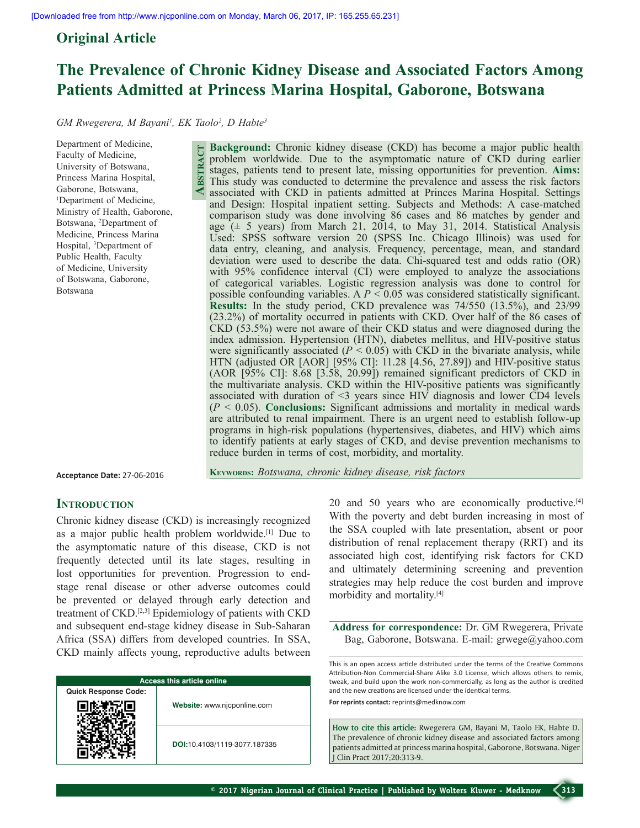**Abstract**

# **Original Article**

# **The Prevalence of Chronic Kidney Disease and Associated Factors Among Patients Admitted at Princess Marina Hospital, Gaborone, Botswana**

GM Rwegerera, M Bayani<sup>1</sup>, EK Taolo<sup>2</sup>, D Habte<sup>3</sup>

Department of Medicine, Faculty of Medicine, University of Botswana, Princess Marina Hospital, Gaborone, Botswana, 1 Department of Medicine, Ministry of Health, Gaborone, Botswana, 2 Department of Medicine, Princess Marina Hospital, 3 Department of Public Health, Faculty of Medicine, University of Botswana, Gaborone, Botswana

**Background:** Chronic kidney disease (CKD) has become a major public health problem worldwide. Due to the asymptomatic nature of CKD during earlier stages, patients tend to present late, missing opportunities for prevention. **Aims:** This study was conducted to determine the prevalence and assess the risk factors associated with CKD in patients admitted at Princes Marina Hospital. Settings and Design: Hospital inpatient setting. Subjects and Methods: A case-matched comparison study was done involving 86 cases and 86 matches by gender and age  $(\pm 5$  years) from March 21, 2014, to May 31, 2014. Statistical Analysis Used: SPSS software version 20 (SPSS Inc. Chicago Illinois) was used for data entry, cleaning, and analysis. Frequency, percentage, mean, and standard deviation were used to describe the data. Chi-squared test and odds ratio (OR) with 95% confidence interval (CI) were employed to analyze the associations of categorical variables. Logistic regression analysis was done to control for possible confounding variables. A  $P \le 0.05$  was considered statistically significant. **Results:** In the study period, CKD prevalence was 74/550 (13.5%), and 23/99 (23.2%) of mortality occurred in patients with CKD. Over half of the 86 cases of CKD (53.5%) were not aware of their CKD status and were diagnosed during the index admission. Hypertension (HTN), diabetes mellitus, and HIV-positive status were significantly associated  $(P < 0.05)$  with CKD in the bivariate analysis, while HTN (adjusted OR [AOR] [95% CI]: 11.28 [4.56, 27.89]) and HIV-positive status (AOR [95% CI]: 8.68 [3.58, 20.99]) remained significant predictors of CKD in the multivariate analysis. CKD within the HIV-positive patients was significantly associated with duration of  $\leq$ 3 years since HIV diagnosis and lower CD4 levels (*P* < 0.05). **Conclusions:** Significant admissions and mortality in medical wards are attributed to renal impairment. There is an urgent need to establish follow-up programs in high-risk populations (hypertensives, diabetes, and HIV) which aims to identify patients at early stages of CKD, and devise prevention mechanisms to reduce burden in terms of cost, morbidity, and mortality.

**Acceptance Date:** 27-06-2016

**Keywords:** *Botswana, chronic kidney disease, risk factors*

# **INTRODUCTION**

Chronic kidney disease (CKD) is increasingly recognized as a major public health problem worldwide.[1] Due to the asymptomatic nature of this disease, CKD is not frequently detected until its late stages, resulting in lost opportunities for prevention. Progression to endstage renal disease or other adverse outcomes could be prevented or delayed through early detection and treatment of CKD.[2,3] Epidemiology of patients with CKD and subsequent end-stage kidney disease in Sub-Saharan Africa (SSA) differs from developed countries. In SSA, CKD mainly affects young, reproductive adults between

| <b>Access this article online</b> |                              |  |  |
|-----------------------------------|------------------------------|--|--|
| <b>Quick Response Code:</b>       |                              |  |  |
|                                   | Website: www.njcponline.com  |  |  |
|                                   | DOI:10.4103/1119-3077.187335 |  |  |

20 and 50 years who are economically productive.<sup>[4]</sup> With the poverty and debt burden increasing in most of the SSA coupled with late presentation, absent or poor distribution of renal replacement therapy (RRT) and its associated high cost, identifying risk factors for CKD and ultimately determining screening and prevention strategies may help reduce the cost burden and improve morbidity and mortality.[4]

**Address for correspondence:** Dr. GM Rwegerera, Private Bag, Gaborone, Botswana. E-mail: grwege@yahoo.com

This is an open access article distributed under the terms of the Creative Commons Attribution-Non Commercial-Share Alike 3.0 License, which allows others to remix, tweak, and build upon the work non-commercially, as long as the author is credited and the new creations are licensed under the identical terms.

**For reprints contact:** reprints@medknow.com

**How to cite this article:** Rwegerera GM, Bayani M, Taolo EK, Habte D. The prevalence of chronic kidney disease and associated factors among patients admitted at princess marina hospital, Gaborone, Botswana. Niger J Clin Pract 2017;20:313-9.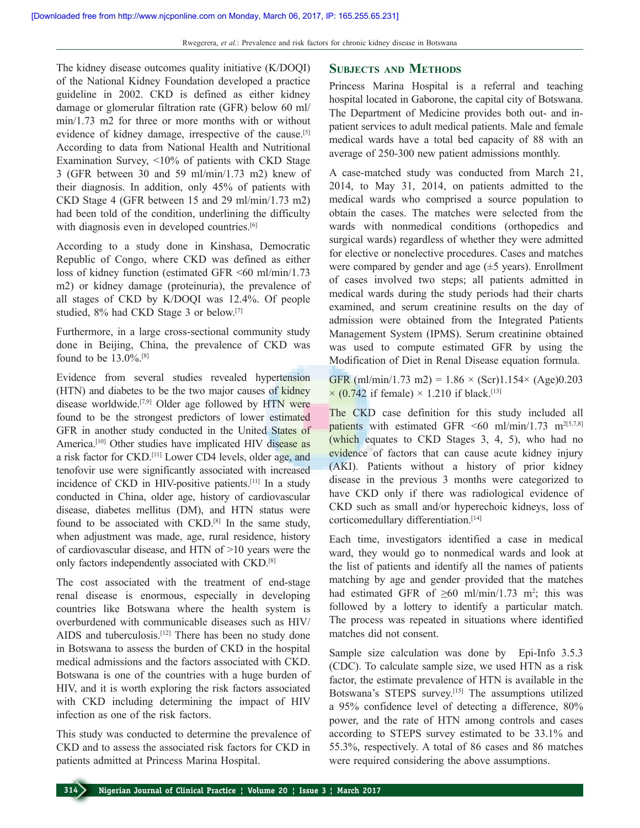The kidney disease outcomes quality initiative (K/DOQI) of the National Kidney Foundation developed a practice guideline in 2002. CKD is defined as either kidney damage or glomerular filtration rate (GFR) below 60 ml/ min/1.73 m2 for three or more months with or without evidence of kidney damage, irrespective of the cause.<sup>[5]</sup> According to data from National Health and Nutritional Examination Survey, <10% of patients with CKD Stage 3 (GFR between 30 and 59 ml/min/1.73 m2) knew of their diagnosis. In addition, only 45% of patients with CKD Stage 4 (GFR between 15 and 29 ml/min/1.73 m2) had been told of the condition, underlining the difficulty with diagnosis even in developed countries.<sup>[6]</sup>

According to a study done in Kinshasa, Democratic Republic of Congo, where CKD was defined as either loss of kidney function (estimated GFR <60 ml/min/1.73 m2) or kidney damage (proteinuria), the prevalence of all stages of CKD by K/DOQI was 12.4%. Of people studied, 8% had CKD Stage 3 or below.[7]

Furthermore, in a large cross-sectional community study done in Beijing, China, the prevalence of CKD was found to be 13.0%.[8]

Evidence from several studies revealed hypertension (HTN) and diabetes to be the two major causes of kidney disease worldwide.[7,9] Older age followed by HTN were found to be the strongest predictors of lower estimated GFR in another study conducted in the United States of America.<sup>[10]</sup> Other studies have implicated HIV disease as a risk factor for CKD.[11] Lower CD4 levels, older age, and tenofovir use were significantly associated with increased incidence of CKD in HIV-positive patients.[11] In a study conducted in China, older age, history of cardiovascular disease, diabetes mellitus (DM), and HTN status were found to be associated with CKD.<sup>[8]</sup> In the same study, when adjustment was made, age, rural residence, history of cardiovascular disease, and HTN of >10 years were the only factors independently associated with CKD.[8]

The cost associated with the treatment of end-stage renal disease is enormous, especially in developing countries like Botswana where the health system is overburdened with communicable diseases such as HIV/ AIDS and tuberculosis.<sup>[12]</sup> There has been no study done in Botswana to assess the burden of CKD in the hospital medical admissions and the factors associated with CKD. Botswana is one of the countries with a huge burden of HIV, and it is worth exploring the risk factors associated with CKD including determining the impact of HIV infection as one of the risk factors.

This study was conducted to determine the prevalence of CKD and to assess the associated risk factors for CKD in patients admitted at Princess Marina Hospital.

# **Subjects and Methods**

Princess Marina Hospital is a referral and teaching hospital located in Gaborone, the capital city of Botswana. The Department of Medicine provides both out- and inpatient services to adult medical patients. Male and female medical wards have a total bed capacity of 88 with an average of 250-300 new patient admissions monthly.

A case-matched study was conducted from March 21, 2014, to May 31, 2014, on patients admitted to the medical wards who comprised a source population to obtain the cases. The matches were selected from the wards with nonmedical conditions (orthopedics and surgical wards) regardless of whether they were admitted for elective or nonelective procedures. Cases and matches were compared by gender and age  $(\pm 5 \text{ years})$ . Enrollment of cases involved two steps; all patients admitted in medical wards during the study periods had their charts examined, and serum creatinine results on the day of admission were obtained from the Integrated Patients Management System (IPMS). Serum creatinine obtained was used to compute estimated GFR by using the Modification of Diet in Renal Disease equation formula.

GFR (ml/min/1.73 m2) =  $1.86 \times$  (Scr)1.154 $\times$  (Age)0.203  $\times$  (0.742 if female)  $\times$  1.210 if black.<sup>[13]</sup>

The CKD case definition for this study included all patients with estimated GFR <60 ml/min/1.73 m<sup>2[5,7,8]</sup> (which equates to CKD Stages 3, 4, 5), who had no evidence of factors that can cause acute kidney injury (AKI). Patients without a history of prior kidney disease in the previous 3 months were categorized to have CKD only if there was radiological evidence of CKD such as small and/or hyperechoic kidneys, loss of corticomedullary differentiation.<sup>[14]</sup>

Each time, investigators identified a case in medical ward, they would go to nonmedical wards and look at the list of patients and identify all the names of patients matching by age and gender provided that the matches had estimated GFR of  $\geq 60$  ml/min/1.73 m<sup>2</sup>; this was followed by a lottery to identify a particular match. The process was repeated in situations where identified matches did not consent.

Sample size calculation was done by Epi-Info 3.5.3 (CDC). To calculate sample size, we used HTN as a risk factor, the estimate prevalence of HTN is available in the Botswana's STEPS survey.<sup>[15]</sup> The assumptions utilized a 95% confidence level of detecting a difference, 80% power, and the rate of HTN among controls and cases according to STEPS survey estimated to be 33.1% and 55.3%, respectively. A total of 86 cases and 86 matches were required considering the above assumptions.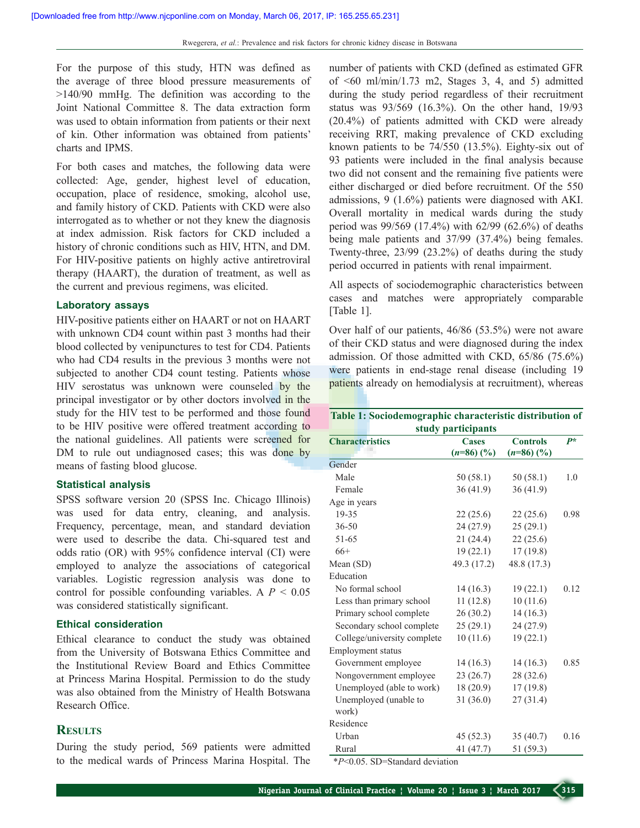For the purpose of this study, HTN was defined as the average of three blood pressure measurements of >140/90 mmHg. The definition was according to the Joint National Committee 8. The data extraction form was used to obtain information from patients or their next of kin. Other information was obtained from patients' charts and IPMS.

For both cases and matches, the following data were collected: Age, gender, highest level of education, occupation, place of residence, smoking, alcohol use, and family history of CKD. Patients with CKD were also interrogated as to whether or not they knew the diagnosis at index admission. Risk factors for CKD included a history of chronic conditions such as HIV, HTN, and DM. For HIV-positive patients on highly active antiretroviral therapy (HAART), the duration of treatment, as well as the current and previous regimens, was elicited.

#### **Laboratory assays**

HIV-positive patients either on HAART or not on HAART with unknown CD4 count within past 3 months had their blood collected by venipunctures to test for CD4. Patients who had CD4 results in the previous 3 months were not subjected to another CD4 count testing. Patients whose HIV serostatus was unknown were counseled by the principal investigator or by other doctors involved in the study for the HIV test to be performed and those found to be HIV positive were offered treatment according to the national guidelines. All patients were screened for DM to rule out undiagnosed cases; this was done by means of fasting blood glucose.

#### **Statistical analysis**

SPSS software version 20 (SPSS Inc. Chicago Illinois) was used for data entry, cleaning, and analysis. Frequency, percentage, mean, and standard deviation were used to describe the data. Chi-squared test and odds ratio (OR) with 95% confidence interval (CI) were employed to analyze the associations of categorical variables. Logistic regression analysis was done to control for possible confounding variables. A *P* < 0.05 was considered statistically significant.

## **Ethical consideration**

Ethical clearance to conduct the study was obtained from the University of Botswana Ethics Committee and the Institutional Review Board and Ethics Committee at Princess Marina Hospital. Permission to do the study was also obtained from the Ministry of Health Botswana Research Office.

# **Results**

During the study period, 569 patients were admitted to the medical wards of Princess Marina Hospital. The number of patients with CKD (defined as estimated GFR of  $\leq 60$  ml/min/1.73 m2, Stages 3, 4, and 5) admitted during the study period regardless of their recruitment status was 93/569 (16.3%). On the other hand, 19/93 (20.4%) of patients admitted with CKD were already receiving RRT, making prevalence of CKD excluding known patients to be 74/550 (13.5%). Eighty-six out of 93 patients were included in the final analysis because two did not consent and the remaining five patients were either discharged or died before recruitment. Of the 550 admissions, 9 (1.6%) patients were diagnosed with AKI. Overall mortality in medical wards during the study period was 99/569 (17.4%) with 62/99 (62.6%) of deaths being male patients and 37/99 (37.4%) being females. Twenty-three, 23/99 (23.2%) of deaths during the study period occurred in patients with renal impairment.

All aspects of sociodemographic characteristics between cases and matches were appropriately comparable [Table 1].

Over half of our patients, 46/86 (53.5%) were not aware of their CKD status and were diagnosed during the index admission. Of those admitted with CKD, 65/86 (75.6%) were patients in end-stage renal disease (including 19 patients already on hemodialysis at recruitment), whereas

#### **Table 1: Sociodemographic characteristic distribution of study participants**

| <b>Characteristics</b>      | <b>Cases</b> | <b>Controls</b> | $P^*$ |
|-----------------------------|--------------|-----------------|-------|
|                             | $(n=86)$ (%) | $(n=86)$ (%)    |       |
| Gender                      |              |                 |       |
| Male                        | 50(58.1)     | 50(58.1)        | 1.0   |
| Female                      | 36(41.9)     | 36(41.9)        |       |
| Age in years                |              |                 |       |
| 19-35                       | 22(25.6)     | 22(25.6)        | 0.98  |
| $36 - 50$                   | 24 (27.9)    | 25(29.1)        |       |
| 51-65                       | 21(24.4)     | 22(25.6)        |       |
| $66+$                       | 19(22.1)     | 17(19.8)        |       |
| Mean (SD)                   | 49.3 (17.2)  | 48.8 (17.3)     |       |
| Education                   |              |                 |       |
| No formal school            | 14(16.3)     | 19(22.1)        | 0.12  |
| Less than primary school    | 11(12.8)     | 10(11.6)        |       |
| Primary school complete     | 26(30.2)     | 14(16.3)        |       |
| Secondary school complete   | 25(29.1)     | 24(27.9)        |       |
| College/university complete | 10(11.6)     | 19(22.1)        |       |
| Employment status           |              |                 |       |
| Government employee         | 14(16.3)     | 14(16.3)        | 0.85  |
| Nongovernment employee      | 23(26.7)     | 28 (32.6)       |       |
| Unemployed (able to work)   | 18(20.9)     | 17(19.8)        |       |
| Unemployed (unable to       | 31(36.0)     | 27(31.4)        |       |
| work)                       |              |                 |       |
| Residence                   |              |                 |       |
| Urban                       | 45(52.3)     | 35(40.7)        | 0.16  |
| Rural                       | 41 (47.7)    | 51 (59.3)       |       |

\**P*<0.05. SD=Standard deviation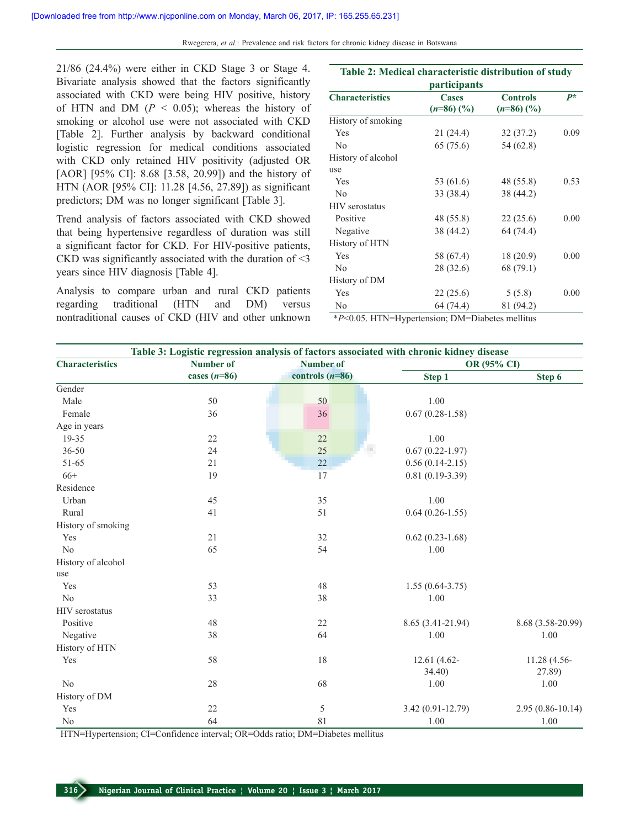Rwegerera, *et al.*: Prevalence and risk factors for chronic kidney disease in Botswana

21/86 (24.4%) were either in CKD Stage 3 or Stage 4. Bivariate analysis showed that the factors significantly associated with CKD were being HIV positive, history of HTN and DM  $(P < 0.05)$ ; whereas the history of smoking or alcohol use were not associated with CKD [Table 2]. Further analysis by backward conditional logistic regression for medical conditions associated with CKD only retained HIV positivity (adjusted OR [AOR] [95% CI]: 8.68 [3.58, 20.99]) and the history of HTN (AOR [95% CI]: 11.28 [4.56, 27.89]) as significant predictors; DM was no longer significant [Table 3].

Trend analysis of factors associated with CKD showed that being hypertensive regardless of duration was still a significant factor for CKD. For HIV-positive patients, CKD was significantly associated with the duration of <3 years since HIV diagnosis [Table 4].

Analysis to compare urban and rural CKD patients regarding traditional (HTN and DM) versus nontraditional causes of CKD (HIV and other unknown

| participants           |                              |                                 |       |
|------------------------|------------------------------|---------------------------------|-------|
| <b>Characteristics</b> | <b>Cases</b><br>$(n=86)$ (%) | <b>Controls</b><br>$(n=86)$ (%) | $P^*$ |
| History of smoking     |                              |                                 |       |
| Yes                    | 21(24.4)                     | 32(37.2)                        | 0.09  |
| No                     | 65 (75.6)                    | 54 (62.8)                       |       |
| History of alcohol     |                              |                                 |       |
| use                    |                              |                                 |       |
| Yes                    | 53 (61.6)                    | 48 (55.8)                       | 0.53  |
| No                     | 33 (38.4)                    | 38 (44.2)                       |       |
| <b>HIV</b> serostatus  |                              |                                 |       |
| Positive               | 48 (55.8)                    | 22(25.6)                        | 0.00  |
| Negative               | 38 (44.2)                    | 64 (74.4)                       |       |
| History of HTN         |                              |                                 |       |
| Yes                    | 58 (67.4)                    | 18(20.9)                        | 0.00  |
| N <sub>0</sub>         | 28 (32.6)                    | 68 (79.1)                       |       |
| History of DM          |                              |                                 |       |
| Yes                    | 22(25.6)                     | 5(5.8)                          | 0.00  |
| N <sub>0</sub>         | 64 (74.4)                    | 81 (94.2)                       |       |

**Table 2: Medical characteristic distribution of study** 

\**P*<0.05. HTN=Hypertension; DM=Diabetes mellitus

| Table 3: Logistic regression analysis of factors associated with chronic kidney disease |                  |                   |                     |                      |
|-----------------------------------------------------------------------------------------|------------------|-------------------|---------------------|----------------------|
| <b>Characteristics</b>                                                                  | <b>Number of</b> | <b>Number of</b>  |                     | OR (95% CI)          |
|                                                                                         | cases $(n=86)$   | controls $(n=86)$ | Step 1              | Step 6               |
| Gender                                                                                  |                  |                   |                     |                      |
| Male                                                                                    | 50               | 50                | 1.00                |                      |
| Female                                                                                  | 36               | 36                | $0.67(0.28-1.58)$   |                      |
| Age in years                                                                            |                  |                   |                     |                      |
| 19-35                                                                                   | 22               | $22\,$            | 1.00                |                      |
| $36 - 50$                                                                               | 24               | $25\,$            | $0.67(0.22 - 1.97)$ |                      |
| 51-65                                                                                   | 21               | 22                | $0.56(0.14-2.15)$   |                      |
| $66+$                                                                                   | 19               | 17                | $0.81(0.19-3.39)$   |                      |
| Residence                                                                               |                  |                   |                     |                      |
| Urban                                                                                   | 45               | 35                | 1.00                |                      |
| Rural                                                                                   | 41               | 51                | $0.64(0.26 - 1.55)$ |                      |
| History of smoking                                                                      |                  |                   |                     |                      |
| Yes                                                                                     | 21               | 32                | $0.62(0.23-1.68)$   |                      |
| N <sub>o</sub>                                                                          | 65               | 54                | 1.00                |                      |
| History of alcohol                                                                      |                  |                   |                     |                      |
| use                                                                                     |                  |                   |                     |                      |
| Yes                                                                                     | 53               | 48                | $1.55(0.64-3.75)$   |                      |
| No                                                                                      | 33               | 38                | 1.00                |                      |
| <b>HIV</b> serostatus                                                                   |                  |                   |                     |                      |
| Positive                                                                                | 48               | 22                | 8.65 (3.41-21.94)   | 8.68 (3.58-20.99)    |
| Negative                                                                                | 38               | 64                | 1.00                | 1.00                 |
| History of HTN                                                                          |                  |                   |                     |                      |
| Yes                                                                                     | 58               | 18                | 12.61 (4.62-        | 11.28 (4.56-         |
|                                                                                         |                  |                   | $34.40$ )           | 27.89)               |
| No                                                                                      | 28               | 68                | 1.00                | 1.00                 |
| History of DM                                                                           |                  |                   |                     |                      |
| Yes                                                                                     | 22               | $\sqrt{5}$        | 3.42 (0.91-12.79)   | $2.95(0.86 - 10.14)$ |
| N <sub>o</sub>                                                                          | 64               | 81                | 1.00                | 1.00                 |

HTN=Hypertension; CI=Confidence interval; OR=Odds ratio; DM=Diabetes mellitus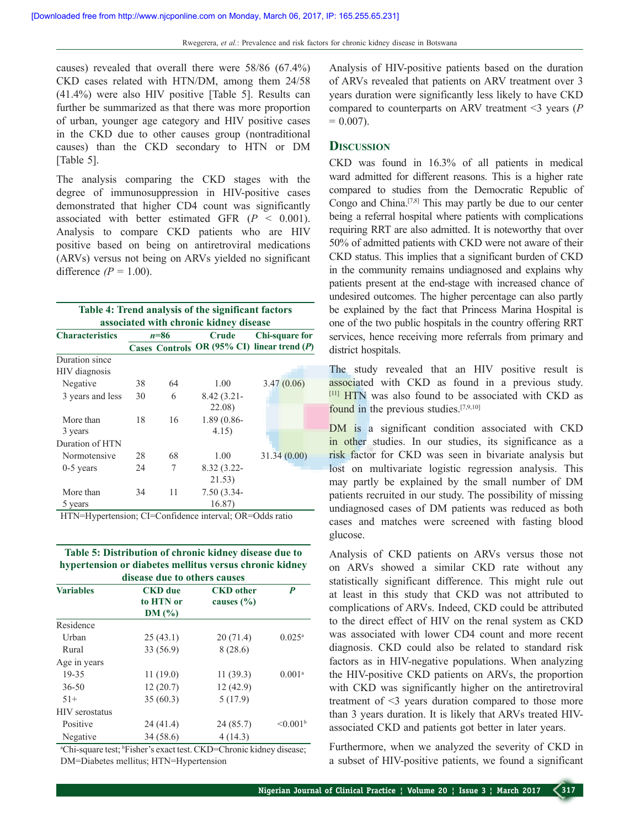causes) revealed that overall there were 58/86 (67.4%) CKD cases related with HTN/DM, among them 24/58 (41.4%) were also HIV positive [Table 5]. Results can further be summarized as that there was more proportion of urban, younger age category and HIV positive cases in the CKD due to other causes group (nontraditional causes) than the CKD secondary to HTN or DM [Table 5].

The analysis comparing the CKD stages with the degree of immunosuppression in HIV-positive cases demonstrated that higher CD4 count was significantly associated with better estimated GFR (*P* < 0.001). Analysis to compare CKD patients who are HIV positive based on being on antiretroviral medications (ARVs) versus not being on ARVs yielded no significant difference  $(P = 1.00)$ .

|                                        |          |    | Table 4: Trend analysis of the significant factors |                                             |  |
|----------------------------------------|----------|----|----------------------------------------------------|---------------------------------------------|--|
| associated with chronic kidney disease |          |    |                                                    |                                             |  |
| <b>Characteristics</b>                 | $n = 86$ |    | Crude                                              | <b>Chi-square for</b>                       |  |
|                                        |          |    |                                                    | Cases Controls OR (95% CI) linear trend (P) |  |
| Duration since                         |          |    |                                                    |                                             |  |
| HIV diagnosis                          |          |    |                                                    |                                             |  |
| Negative                               | 38       | 64 | 1.00                                               | 3.47(0.06)                                  |  |
| 3 years and less                       | 30       | 6  | $8.42(3.21 -$                                      |                                             |  |
|                                        |          |    | 22.08)                                             |                                             |  |
| More than                              | 18       | 16 | 1.89 (0.86-                                        |                                             |  |
| 3 years                                |          |    | 4.15)                                              |                                             |  |
| Duration of HTN                        |          |    |                                                    |                                             |  |
| Normotensive                           | 28       | 68 | 1.00                                               | 31.34(0.00)                                 |  |
| $0-5$ years                            | 24       | 7  | 8.32 (3.22-                                        |                                             |  |
|                                        |          |    | 21.53)                                             |                                             |  |
| More than                              | 34       | 11 | $7.50(3.34 -$                                      |                                             |  |
| 5 years                                |          |    | 16.87)                                             |                                             |  |

HTN=Hypertension; CI=Confidence interval; OR=Odds ratio

**Table 5: Distribution of chronic kidney disease due to hypertension or diabetes mellitus versus chronic kidney** 

| disease due to others causes |                                      |                                    |                      |  |
|------------------------------|--------------------------------------|------------------------------------|----------------------|--|
| <b>Variables</b>             | <b>CKD</b> due<br>to HTN or<br>DM(%) | <b>CKD</b> other<br>causes $(\% )$ | P                    |  |
| Residence                    |                                      |                                    |                      |  |
| Urban                        | 25(43.1)                             | 20(71.4)                           | $0.025^{\rm a}$      |  |
| Rural                        | 33 (56.9)                            | 8(28.6)                            |                      |  |
| Age in years                 |                                      |                                    |                      |  |
| 19-35                        | 11(19.0)                             | 11(39.3)                           | 0.001 <sup>a</sup>   |  |
| $36 - 50$                    | 12(20.7)                             | 12(42.9)                           |                      |  |
| $51+$                        | 35(60.3)                             | 5(17.9)                            |                      |  |
| <b>HIV</b> serostatus        |                                      |                                    |                      |  |
| Positive                     | 24(41.4)                             | 24 (85.7)                          | $\leq 0.001^{\rm b}$ |  |
| Negative                     | 34(58.6)                             | 4(14.3)                            |                      |  |

<sup>a</sup>Chi-square test; <sup>b</sup>Fisher's exact test. CKD=Chronic kidney disease; DM=Diabetes mellitus; HTN=Hypertension

Analysis of HIV-positive patients based on the duration of ARVs revealed that patients on ARV treatment over 3 years duration were significantly less likely to have CKD compared to counterparts on ARV treatment <3 years (*P*  $= 0.007$ ).

# **Discussion**

CKD was found in 16.3% of all patients in medical ward admitted for different reasons. This is a higher rate compared to studies from the Democratic Republic of Congo and China.[7,8] This may partly be due to our center being a referral hospital where patients with complications requiring RRT are also admitted. It is noteworthy that over 50% of admitted patients with CKD were not aware of their CKD status. This implies that a significant burden of CKD in the community remains undiagnosed and explains why patients present at the end-stage with increased chance of undesired outcomes. The higher percentage can also partly be explained by the fact that Princess Marina Hospital is one of the two public hospitals in the country offering RRT services, hence receiving more referrals from primary and district hospitals.

The study revealed that an HIV positive result is associated with CKD as found in a previous study.  $[11]$  HTN was also found to be associated with CKD as found in the previous studies.[7,9,10]

DM is a significant condition associated with CKD in other studies. In our studies, its significance as a risk factor for CKD was seen in bivariate analysis but lost on multivariate logistic regression analysis. This may partly be explained by the small number of DM patients recruited in our study. The possibility of missing undiagnosed cases of DM patients was reduced as both cases and matches were screened with fasting blood glucose.

Analysis of CKD patients on ARVs versus those not on ARVs showed a similar CKD rate without any statistically significant difference. This might rule out at least in this study that CKD was not attributed to complications of ARVs. Indeed, CKD could be attributed to the direct effect of HIV on the renal system as CKD was associated with lower CD4 count and more recent diagnosis. CKD could also be related to standard risk factors as in HIV-negative populations. When analyzing the HIV-positive CKD patients on ARVs, the proportion with CKD was significantly higher on the antiretroviral treatment of <3 years duration compared to those more than 3 years duration. It is likely that ARVs treated HIVassociated CKD and patients got better in later years.

Furthermore, when we analyzed the severity of CKD in a subset of HIV-positive patients, we found a significant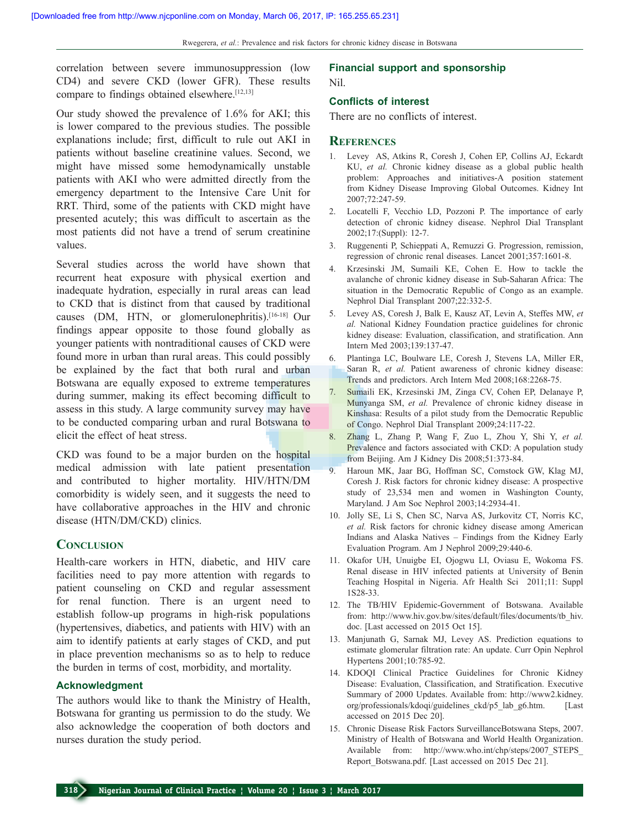correlation between severe immunosuppression (low CD4) and severe CKD (lower GFR). These results compare to findings obtained elsewhere.[12,13]

Our study showed the prevalence of 1.6% for AKI; this is lower compared to the previous studies. The possible explanations include; first, difficult to rule out AKI in patients without baseline creatinine values. Second, we might have missed some hemodynamically unstable patients with AKI who were admitted directly from the emergency department to the Intensive Care Unit for RRT. Third, some of the patients with CKD might have presented acutely; this was difficult to ascertain as the most patients did not have a trend of serum creatinine values.

Several studies across the world have shown that recurrent heat exposure with physical exertion and inadequate hydration, especially in rural areas can lead to CKD that is distinct from that caused by traditional causes (DM, HTN, or glomerulonephritis).<sup>[16-18]</sup> Our findings appear opposite to those found globally as younger patients with nontraditional causes of CKD were found more in urban than rural areas. This could possibly be explained by the fact that both rural and urban Botswana are equally exposed to extreme temperatures during summer, making its effect becoming difficult to assess in this study. A large community survey may have to be conducted comparing urban and rural Botswana to elicit the effect of heat stress.

CKD was found to be a major burden on the hospital medical admission with late patient presentation and contributed to higher mortality. HIV/HTN/DM comorbidity is widely seen, and it suggests the need to have collaborative approaches in the HIV and chronic disease (HTN/DM/CKD) clinics.

## **Conclusion**

Health-care workers in HTN, diabetic, and HIV care facilities need to pay more attention with regards to patient counseling on CKD and regular assessment for renal function. There is an urgent need to establish follow-up programs in high-risk populations (hypertensives, diabetics, and patients with HIV) with an aim to identify patients at early stages of CKD, and put in place prevention mechanisms so as to help to reduce the burden in terms of cost, morbidity, and mortality.

#### **Acknowledgment**

The authors would like to thank the Ministry of Health, Botswana for granting us permission to do the study. We also acknowledge the cooperation of both doctors and nurses duration the study period.

## **Financial support and sponsorship** Nil.

#### **Conflicts of interest**

There are no conflicts of interest.

#### **References**

- 1. Levey AS, Atkins R, Coresh J, Cohen EP, Collins AJ, Eckardt KU, *et al.* Chronic kidney disease as a global public health problem: Approaches and initiatives-A position statement from Kidney Disease Improving Global Outcomes. Kidney Int 2007;72:247-59.
- 2. Locatelli F, Vecchio LD, Pozzoni P. The importance of early detection of chronic kidney disease. Nephrol Dial Transplant 2002;17:(Suppl): 12-7.
- 3. Ruggenenti P, Schieppati A, Remuzzi G. Progression, remission, regression of chronic renal diseases. Lancet 2001;357:1601-8.
- 4. Krzesinski JM, Sumaili KE, Cohen E. How to tackle the avalanche of chronic kidney disease in Sub-Saharan Africa: The situation in the Democratic Republic of Congo as an example. Nephrol Dial Transplant 2007;22:332-5.
- 5. Levey AS, Coresh J, Balk E, Kausz AT, Levin A, Steffes MW, *et al.* National Kidney Foundation practice guidelines for chronic kidney disease: Evaluation, classification, and stratification. Ann Intern Med 2003;139:137-47.
- 6. Plantinga LC, Boulware LE, Coresh J, Stevens LA, Miller ER, Saran R, *et al.* Patient awareness of chronic kidney disease: Trends and predictors. Arch Intern Med 2008;168:2268-75.
- 7. Sumaili EK, Krzesinski JM, Zinga CV, Cohen EP, Delanaye P, Munyanga SM, *et al.* Prevalence of chronic kidney disease in Kinshasa: Results of a pilot study from the Democratic Republic of Congo. Nephrol Dial Transplant 2009;24:117-22.
- 8. Zhang L, Zhang P, Wang F, Zuo L, Zhou Y, Shi Y, *et al.*  Prevalence and factors associated with CKD: A population study from Beijing. Am J Kidney Dis 2008;51:373-84.
- 9. Haroun MK, Jaar BG, Hoffman SC, Comstock GW, Klag MJ, Coresh J. Risk factors for chronic kidney disease: A prospective study of 23,534 men and women in Washington County, Maryland. J Am Soc Nephrol 2003;14:2934-41.
- 10. Jolly SE, Li S, Chen SC, Narva AS, Jurkovitz CT, Norris KC, *et al.* Risk factors for chronic kidney disease among American Indians and Alaska Natives – Findings from the Kidney Early Evaluation Program. Am J Nephrol 2009;29:440-6.
- 11. Okafor UH, Unuigbe EI, Ojogwu LI, Oviasu E, Wokoma FS. Renal disease in HIV infected patients at University of Benin Teaching Hospital in Nigeria. Afr Health Sci 2011;11: Suppl 1S28-33.
- 12. The TB/HIV Epidemic-Government of Botswana. Available from: http://www.hiv.gov.bw/sites/default/files/documents/tb\_hiv. doc. [Last accessed on 2015 Oct 15].
- 13. Manjunath G, Sarnak MJ, Levey AS. Prediction equations to estimate glomerular filtration rate: An update. Curr Opin Nephrol Hypertens 2001;10:785-92.
- 14. KDOQI Clinical Practice Guidelines for Chronic Kidney Disease: Evaluation, Classification, and Stratification. Executive Summary of 2000 Updates. Available from: http://www2.kidney. org/professionals/kdoqi/guidelines\_ckd/p5\_lab\_g6.htm. [Last accessed on 2015 Dec 20].
- 15. Chronic Disease Risk Factors SurveillanceBotswana Steps, 2007. Ministry of Health of Botswana and World Health Organization. Available from: http://www.who.int/chp/steps/2007\_STEPS Report Botswana.pdf. [Last accessed on 2015 Dec 21].